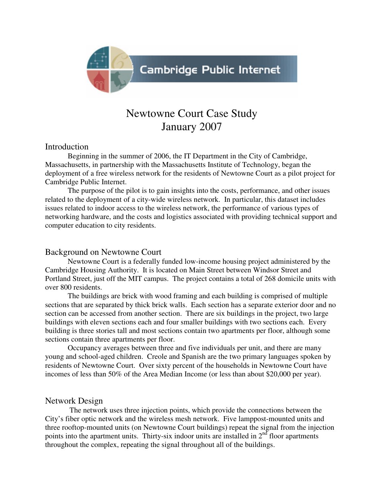

# Newtowne Court Case Study January 2007

#### Introduction

 Beginning in the summer of 2006, the IT Department in the City of Cambridge, Massachusetts, in partnership with the Massachusetts Institute of Technology, began the deployment of a free wireless network for the residents of Newtowne Court as a pilot project for Cambridge Public Internet.

 The purpose of the pilot is to gain insights into the costs, performance, and other issues related to the deployment of a city-wide wireless network. In particular, this dataset includes issues related to indoor access to the wireless network, the performance of various types of networking hardware, and the costs and logistics associated with providing technical support and computer education to city residents.

## Background on Newtowne Court

 Newtowne Court is a federally funded low-income housing project administered by the Cambridge Housing Authority. It is located on Main Street between Windsor Street and Portland Street, just off the MIT campus. The project contains a total of 268 domicile units with over 800 residents.

 The buildings are brick with wood framing and each building is comprised of multiple sections that are separated by thick brick walls. Each section has a separate exterior door and no section can be accessed from another section. There are six buildings in the project, two large buildings with eleven sections each and four smaller buildings with two sections each. Every building is three stories tall and most sections contain two apartments per floor, although some sections contain three apartments per floor.

 Occupancy averages between three and five individuals per unit, and there are many young and school-aged children. Creole and Spanish are the two primary languages spoken by residents of Newtowne Court. Over sixty percent of the households in Newtowne Court have incomes of less than 50% of the Area Median Income (or less than about \$20,000 per year).

## Network Design

 The network uses three injection points, which provide the connections between the City's fiber optic network and the wireless mesh network. Five lamppost-mounted units and three rooftop-mounted units (on Newtowne Court buildings) repeat the signal from the injection points into the apartment units. Thirty-six indoor units are installed in  $2<sup>nd</sup>$  floor apartments throughout the complex, repeating the signal throughout all of the buildings.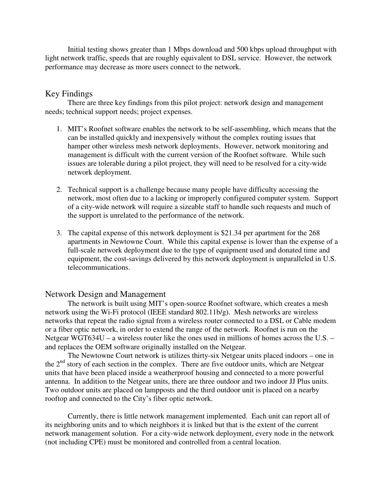Initial testing shows greater than 1 Mbps download and 500 kbps upload throughput with light network traffic, speeds that are roughly equivalent to DSL service. However, the network performance may decrease as more users connect to the network.

## Key Findings

There are three key findings from this pilot project: network design and management needs; technical support needs; project expenses.

- 1. MIT's Roofnet software enables the network to be self-assembling, which means that the can be installed quickly and inexpensively without the complex routing issues that hamper other wireless mesh network deployments. However, network monitoring and management is difficult with the current version of the Roofnet software. While such issues are tolerable during a pilot project, they will need to be resolved for a city-wide network deployment.
- 2. Technical support is a challenge because many people have difficulty accessing the network, most often due to a lacking or improperly configured computer system. Support of a city-wide network will require a sizeable staff to handle such requests and much of the support is unrelated to the performance of the network.
- 3. The capital expense of this network deployment is \$21.34 per apartment for the 268 apartments in Newtowne Court. While this capital expense is lower than the expense of a full-scale network deployment due to the type of equipment used and donated time and equipment, the cost-savings delivered by this network deployment is unparalleled in U.S. telecommunications.

## Network Design and Management

 The network is built using MIT's open-source Roofnet software, which creates a mesh network using the Wi-Fi protocol (IEEE standard 802.11b/g). Mesh networks are wireless networks that repeat the radio signal from a wireless router connected to a DSL or Cable modem or a fiber optic network, in order to extend the range of the network. Roofnet is run on the Netgear WGT634U – a wireless router like the ones used in millions of homes across the U.S. – and replaces the OEM software originally installed on the Netgear.

 The Newtowne Court network is utilizes thirty-six Netgear units placed indoors – one in the  $2<sup>nd</sup>$  story of each section in the complex. There are five outdoor units, which are Netgear units that have been placed inside a weatherproof housing and connected to a more powerful antenna. In addition to the Netgear units, there are three outdoor and two indoor JJ Plus units. Two outdoor units are placed on lampposts and the third outdoor unit is placed on a nearby rooftop and connected to the City's fiber optic network.

 Currently, there is little network management implemented. Each unit can report all of its neighboring units and to which neighbors it is linked but that is the extent of the current network management solution. For a city-wide network deployment, every node in the network (not including CPE) must be monitored and controlled from a central location.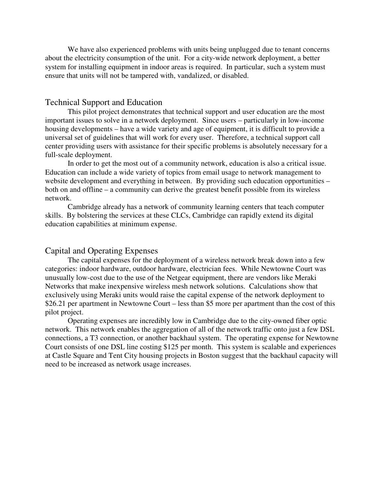We have also experienced problems with units being unplugged due to tenant concerns about the electricity consumption of the unit. For a city-wide network deployment, a better system for installing equipment in indoor areas is required. In particular, such a system must ensure that units will not be tampered with, vandalized, or disabled.

#### Technical Support and Education

 This pilot project demonstrates that technical support and user education are the most important issues to solve in a network deployment. Since users – particularly in low-income housing developments – have a wide variety and age of equipment, it is difficult to provide a universal set of guidelines that will work for every user. Therefore, a technical support call center providing users with assistance for their specific problems is absolutely necessary for a full-scale deployment.

 In order to get the most out of a community network, education is also a critical issue. Education can include a wide variety of topics from email usage to network management to website development and everything in between. By providing such education opportunities – both on and offline – a community can derive the greatest benefit possible from its wireless network.

 Cambridge already has a network of community learning centers that teach computer skills. By bolstering the services at these CLCs, Cambridge can rapidly extend its digital education capabilities at minimum expense.

#### Capital and Operating Expenses

 The capital expenses for the deployment of a wireless network break down into a few categories: indoor hardware, outdoor hardware, electrician fees. While Newtowne Court was unusually low-cost due to the use of the Netgear equipment, there are vendors like Meraki Networks that make inexpensive wireless mesh network solutions. Calculations show that exclusively using Meraki units would raise the capital expense of the network deployment to \$26.21 per apartment in Newtowne Court – less than \$5 more per apartment than the cost of this pilot project.

 Operating expenses are incredibly low in Cambridge due to the city-owned fiber optic network. This network enables the aggregation of all of the network traffic onto just a few DSL connections, a T3 connection, or another backhaul system. The operating expense for Newtowne Court consists of one DSL line costing \$125 per month. This system is scalable and experiences at Castle Square and Tent City housing projects in Boston suggest that the backhaul capacity will need to be increased as network usage increases.